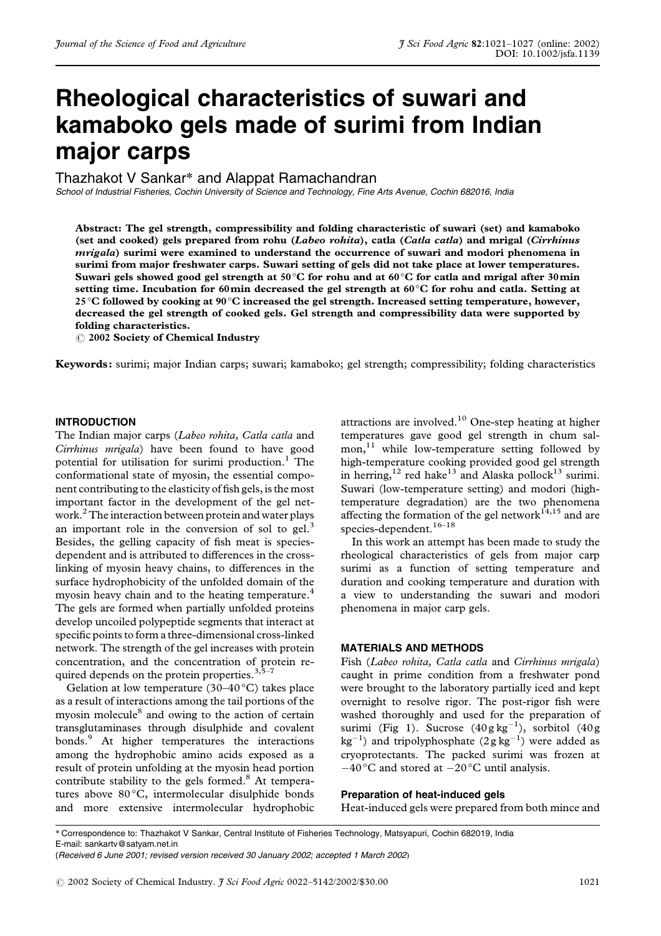# **Rheological characteristics of suwari and kamaboko gels made of surimi from Indian major carps**

Thazhakot V Sankar\* and Alappat Ramachandran

*School of Industrial Fisheries, Cochin University of Science and Technology, Fine Arts Avenue, Cochin 682016, India*

Abstract: The gel strength, compressibility and folding characteristic of suwari (set) and kamaboko (set and cooked) gels prepared from rohu (Labeo rohita), catla (Catla catla) and mrigal (Cirrhinus *mrigala*) surimi were examined to understand the occurrence of suwari and modori phenomena in surimi from major freshwater carps. Suwari setting of gels did not take place at lower temperatures. Suwari gels showed good gel strength at 50°C for rohu and at 60°C for catla and mrigal after 30 $\min$ setting time. Incubation for 60 $\bm{{\rm min}}$  decreased the gel strength at 60°C for rohu and catla. Setting at 25 °C followed by cooking at 90 °C increased the gel strength. Increased setting temperature, however, decreased the gel strength of cooked gels. Gel strength and compressibility data were supported by folding characteristics.

 $\odot$  2002 Society of Chemical Industry

Keywords: surimi; major Indian carps; suwari; kamaboko; gel strength; compressibility; folding characteristics

## **INTRODUCTION**

The Indian major carps (Labeo rohita, Catla catla and Cirrhinus mrigala) have been found to have good potential for utilisation for surimi production.<sup>1</sup> The conformational state of myosin, the essential component contributing to the elasticity of fish gels, is the most important factor in the development of the gel network.<sup>2</sup> The interaction between protein and water plays an important role in the conversion of sol to gel.<sup>3</sup> Besides, the gelling capacity of fish meat is speciesdependent and is attributed to differences in the crosslinking of myosin heavy chains, to differences in the surface hydrophobicity of the unfolded domain of the myosin heavy chain and to the heating temperature.<sup>4</sup> The gels are formed when partially unfolded proteins develop uncoiled polypeptide segments that interact at specific points to form a three-dimensional cross-linked network. The strength of the gel increases with protein concentration, and the concentration of protein required depends on the protein properties. $3,5-7$ 

Gelation at low temperature  $(30-40\degree C)$  takes place as a result of interactions among the tail portions of the myosin molecule<sup>8</sup> and owing to the action of certain transglutaminases through disulphide and covalent bonds.<sup>9</sup> At higher temperatures the interactions among the hydrophobic amino acids exposed as a result of protein unfolding at the myosin head portion contribute stability to the gels formed.<sup>8</sup> At temperatures above 80°C, intermolecular disulphide bonds and more extensive intermolecular hydrophobic

attractions are involved. $10$  One-step heating at higher temperatures gave good gel strength in chum salmon,<sup>11</sup> while low-temperature setting followed by high-temperature cooking provided good gel strength in herring,<sup>12</sup> red hake<sup>13</sup> and Alaska pollock<sup>13</sup> surimi. Suwari (low-temperature setting) and modori (hightemperature degradation) are the two phenomena affecting the formation of the gel network $^{14,15}$  and are species-dependent.<sup>16-18</sup>

In this work an attempt has been made to study the rheological characteristics of gels from major carp surimi as a function of setting temperature and duration and cooking temperature and duration with a view to understanding the suwari and modori phenomena in major carp gels.

#### **MATERIALS AND METHODS**

Fish (Labeo rohita, Catla catla and Cirrhinus mrigala) caught in prime condition from a freshwater pond were brought to the laboratory partially iced and kept overnight to resolve rigor. The post-rigor fish were washed thoroughly and used for the preparation of surimi (Fig 1). Sucrose  $(40g\text{ kg}^{-1})$ , sorbitol  $(40g\text{ kg}^{-1})$  $\text{kg}^{-1}$ ) and tripolyphosphate  $(2g \text{ kg}^{-1})$  were added as cryoprotectants. The packed surimi was frozen at  $-40^{\circ}$ C and stored at  $-20^{\circ}$ C until analysis.

**Preparation of heat-induced gels**

Heat-induced gels were prepared from both mince and

 Correspondence to: Thazhakot V Sankar, Central Institute of Fisheries Technology, Matsyapuri, Cochin 682019, India E-mail: sankartv@satyam.net.in

<sup>(</sup>*Received 6 June 2001; revised version received 30 January 2002; accepted 1 March 2002*-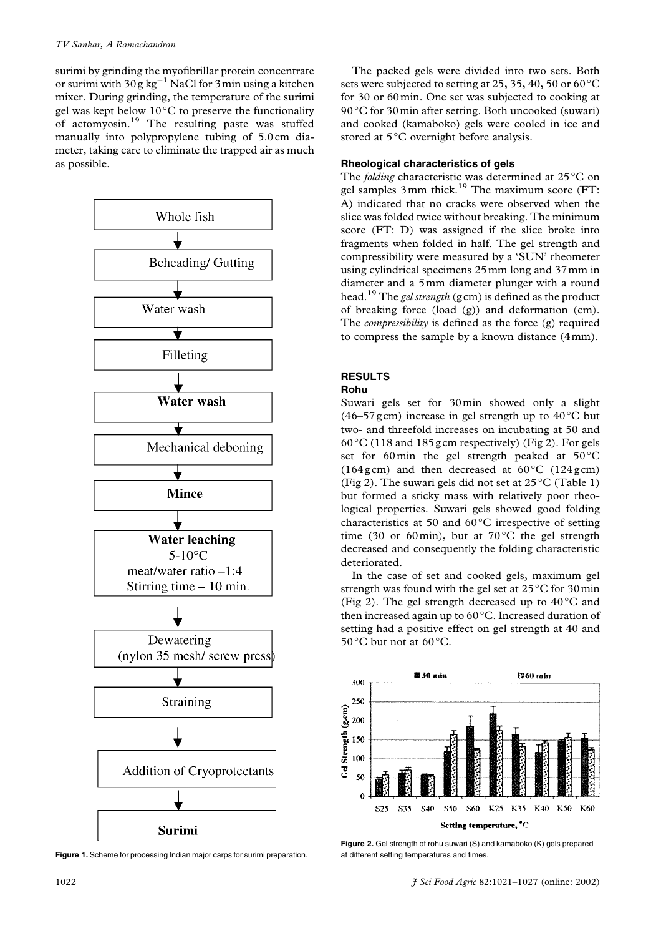surimi by grinding the myofibrillar protein concentrate or surimi with  $30g\,kg^{-1}$  NaCl for  $3m$ in using a kitchen mixer. During grinding, the temperature of the surimi gel was kept below  $10^{\circ}$ C to preserve the functionality of actomyosin.<sup>19</sup> The resulting paste was stuffed manually into polypropylene tubing of 5.0cm diameter, taking care to eliminate the trapped air as much as possible.



**Figure 1.** Scheme for processing Indian major carps for surimi preparation.

The packed gels were divided into two sets. Both sets were subjected to setting at 25, 35, 40, 50 or 60  $^{\circ}\mathrm{C}$ for 30 or 60 min. One set was subjected to cooking at  $90^{\circ}$ C for 30 min after setting. Both uncooked (suwari) and cooked (kamaboko) gels were cooled in ice and stored at 5°C overnight before analysis.

# **Rheological characteristics of gels**

The *folding* characteristic was determined at  $25^{\circ}$ C on gel samples 3 mm thick.<sup>19</sup> The maximum score (FT: A) indicated that no cracks were observed when the slice was folded twice without breaking. The minimum score (FT: D) was assigned if the slice broke into fragments when folded in half. The gel strength and compressibility were measured by a 'SUN' rheometer using cylindrical specimens 25 mm long and 37 mm in diameter and a 5mm diameter plunger with a round head.<sup>19</sup> The *gel strength* (gcm) is defined as the product of breaking force (load  $(g)$ ) and deformation (cm). The compressibility is defined as the force (g) required to compress the sample by a known distance  $(4 \text{ mm})$ .

# **RESULTS**

## **Rohu**

Suwari gels set for 30 min showed only a slight (46–57 gcm) increase in gel strength up to  $40^{\circ}$ C but two- and threefold increases on incubating at 50 and  $60^{\circ}$ C (118 and 185 g cm respectively) (Fig 2). For gels set for 60min the gel strength peaked at  $50^{\circ}$ C  $(164\text{gcm})$  and then decreased at  $60^{\circ}$ C  $(124\text{gcm})$ (Fig 2). The suwari gels did not set at  $25^{\circ}$ C (Table 1) but formed a sticky mass with relatively poor rheological properties. Suwari gels showed good folding characteristics at 50 and  $60^{\circ}$ C irrespective of setting time (30 or 60 min), but at  $70^{\circ}$ C the gel strength decreased and consequently the folding characteristic deteriorated.

In the case of set and cooked gels, maximum gel strength was found with the gel set at  $25^{\circ}$ C for 30 min (Fig 2). The gel strength decreased up to  $40^{\circ}$ C and then increased again up to  $60^{\circ}$ C. Increased duration of setting had a positive effect on gel strength at 40 and 50 $^{\circ}$ C but not at 60 $^{\circ}$ C.



**Figure 2.** Gel strength of rohu suwari (S) and kamaboko (K) gels prepared at different setting temperatures and times.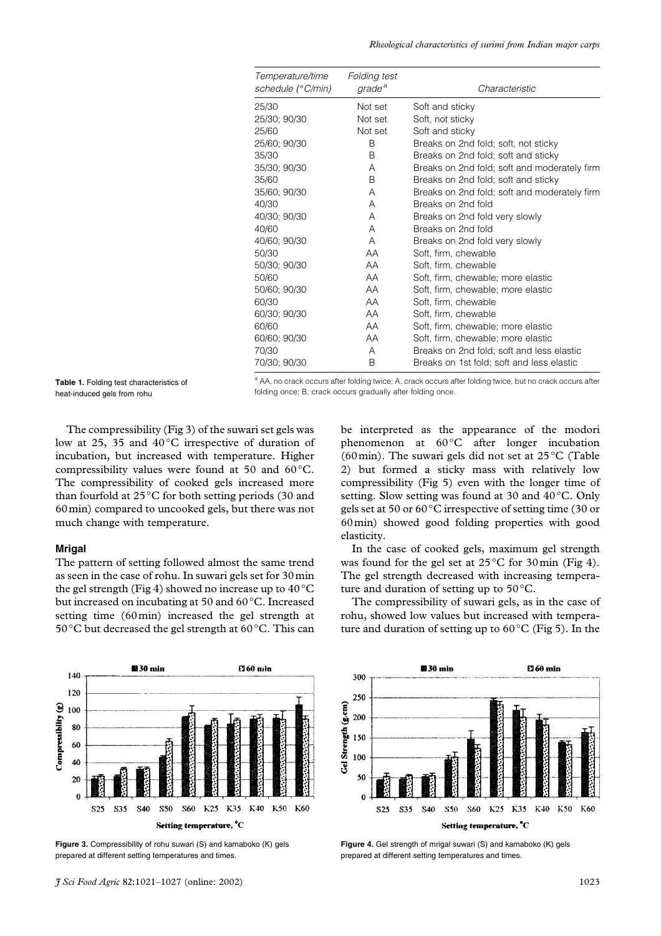| Temperature/time<br>schedule (°C/min) | Folding test<br>grade <sup>a</sup> | Characteristic                               |
|---------------------------------------|------------------------------------|----------------------------------------------|
| 25/30                                 | Not set                            | Soft and sticky                              |
| 25/30; 90/30                          | Not set                            | Soft, not sticky                             |
| 25/60                                 | Not set                            | Soft and sticky                              |
| 25/60; 90/30                          | B                                  | Breaks on 2nd fold; soft, not sticky         |
| 35/30                                 | B                                  | Breaks on 2nd fold; soft and sticky          |
| 35/30; 90/30                          | A                                  | Breaks on 2nd fold; soft and moderately firm |
| 35/60                                 | B                                  | Breaks on 2nd fold; soft and sticky          |
| 35/60; 90/30                          | A                                  | Breaks on 2nd fold; soft and moderately firm |
| 40/30                                 | A                                  | Breaks on 2nd fold                           |
| 40/30; 90/30                          | A                                  | Breaks on 2nd fold very slowly               |
| 40/60                                 | A                                  | Breaks on 2nd fold                           |
| 40/60; 90/30                          | A                                  | Breaks on 2nd fold very slowly               |
| 50/30                                 | AA                                 | Soft, firm, chewable                         |
| 50/30; 90/30                          | AA                                 | Soft, firm, chewable                         |
| 50/60                                 | AA                                 | Soft, firm, chewable; more elastic           |
| 50/60; 90/30                          | AA                                 | Soft, firm, chewable; more elastic           |
| 60/30                                 | AA                                 | Soft, firm, chewable                         |
| 60/30; 90/30                          | AA                                 | Soft, firm, chewable                         |
| 60/60                                 | AA.                                | Soft, firm, chewable; more elastic           |
| 60/60; 90/30                          | AA                                 | Soft, firm, chewable; more elastic           |
| 70/30                                 | A                                  | Breaks on 2nd fold; soft and less elastic    |
| 70/30; 90/30                          | B                                  | Breaks on 1st fold; soft and less elastic    |

**Table 1.** Folding test characteristics of heat-induced gels from rohu

<sup>a</sup> AA, no crack occurs after folding twice; A, crack occurs after folding twice, but no crack occurs after folding once; B, crack occurs gradually after folding once.

The compressibility (Fig 3) of the suwari set gels was low at 25, 35 and  $40^{\circ}$ C irrespective of duration of incubation, but increased with temperature. Higher compressibility values were found at 50 and  $60^{\circ}$ C. The compressibility of cooked gels increased more than fourfold at  $25^{\circ}$ C for both setting periods (30 and 60 min) compared to uncooked gels, but there was not much change with temperature.

### **Mrigal**

The pattern of setting followed almost the same trend as seen in the case of rohu. In suwari gels set for 30 min the gel strength (Fig 4) showed no increase up to  $40^{\circ} \text{C}$ but increased on incubating at 50 and 60 $\mathrm{^{\circ}C}.$  Increased setting time (60 min) increased the gel strength at 50 °C but decreased the gel strength at 60 °C. This can

be interpreted as the appearance of the modori phenomenon at  $60^{\circ}$ C after longer incubation (60 min). The suwari gels did not set at  $25^{\circ}$ C (Table 2) but formed a sticky mass with relatively low compressibility (Fig 5) even with the longer time of setting. Slow setting was found at 30 and 40°C. Only gels set at 50 or  $60^{\circ}$ C irrespective of setting time (30 or  $60 \text{min}$ ) showed good folding properties with good elasticity.

In the case of cooked gels, maximum gel strength was found for the gel set at  $25^{\circ}$ C for 30 min (Fig 4). The gel strength decreased with increasing temperature and duration of setting up to  $50^{\circ}$ C.

The compressibility of suwari gels, as in the case of rohu, showed low values but increased with temperature and duration of setting up to  $60^{\circ}$ C (Fig 5). In the



**Figure 3.** Compressibility of rohu suwari (S) and kamaboko (K) gels prepared at different setting temperatures and times.



**Figure 4.** Gel strength of mrigal suwari (S) and kamaboko (K) gels prepared at different setting temperatures and times.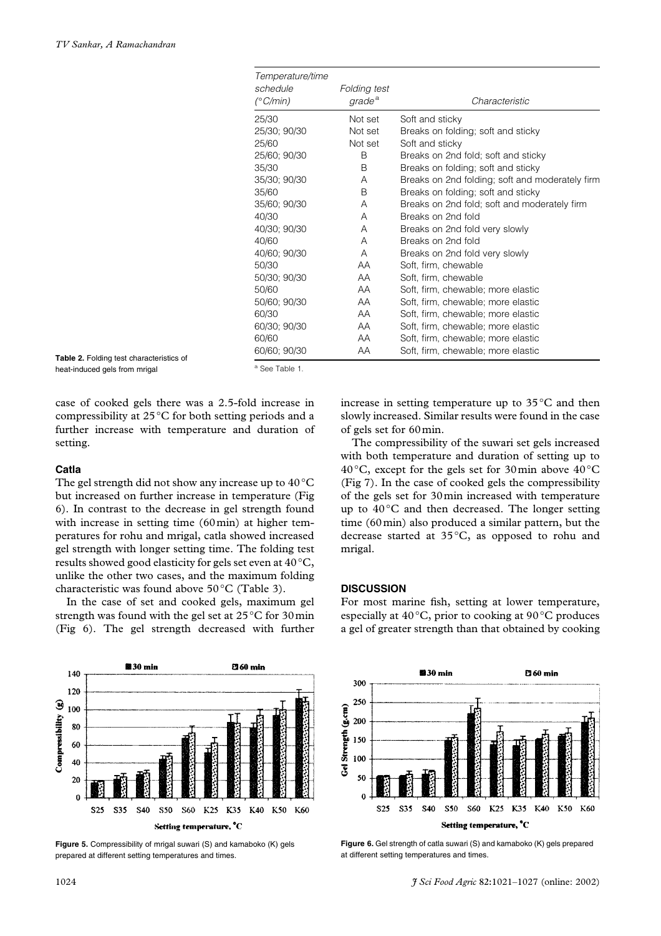| Temperature/time<br>schedule<br>(°C/min) | Folding test<br>grade <sup>a</sup> | Characteristic                                  |
|------------------------------------------|------------------------------------|-------------------------------------------------|
| 25/30                                    | Not set                            | Soft and sticky                                 |
| 25/30; 90/30                             | Not set                            | Breaks on folding; soft and sticky              |
| 25/60                                    | Not set                            | Soft and sticky                                 |
| 25/60; 90/30                             | B                                  | Breaks on 2nd fold; soft and sticky             |
| 35/30                                    | B                                  | Breaks on folding; soft and sticky              |
| 35/30; 90/30                             | A                                  | Breaks on 2nd folding; soft and moderately firm |
| 35/60                                    | B                                  | Breaks on folding; soft and sticky              |
| 35/60; 90/30                             | A                                  | Breaks on 2nd fold; soft and moderately firm    |
| 40/30                                    | A                                  | Breaks on 2nd fold                              |
| 40/30; 90/30                             | A                                  | Breaks on 2nd fold very slowly                  |
| 40/60                                    | A                                  | Breaks on 2nd fold                              |
| 40/60; 90/30                             | A                                  | Breaks on 2nd fold very slowly                  |
| 50/30                                    | AA                                 | Soft, firm, chewable                            |
| 50/30; 90/30                             | AA                                 | Soft, firm, chewable                            |
| 50/60                                    | AA                                 | Soft, firm, chewable; more elastic              |
| 50/60; 90/30                             | AA                                 | Soft, firm, chewable; more elastic              |
| 60/30                                    | AA                                 | Soft, firm, chewable; more elastic              |
| 60/30; 90/30                             | AA                                 | Soft, firm, chewable; more elastic              |
| 60/60                                    | AA                                 | Soft, firm, chewable; more elastic              |
| 60/60; 90/30                             | AA                                 | Soft, firm, chewable; more elastic              |

**Table 2.** Folding test characteristics of heat-induced gels from mrigal

<sup>a</sup> See Table 1.

case of cooked gels there was a 2.5-fold increase in compressibility at  $25^{\circ}$ C for both setting periods and a further increase with temperature and duration of setting.

#### **Catla**

The gel strength did not show any increase up to  $40^{\circ}$ C but increased on further increase in temperature (Fig 6). In contrast to the decrease in gel strength found with increase in setting time  $(60 \text{min})$  at higher temperatures for rohu and mrigal, catla showed increased gel strength with longer setting time. The folding test results showed good elasticity for gels set even at  $40\,^{\circ}\textrm{C},$ unlike the other two cases, and the maximum folding characteristic was found above  $50^{\circ}$ C (Table 3).

In the case of set and cooked gels, maximum gel strength was found with the gel set at  $25^{\circ}$ C for 30 min (Fig 6). The gel strength decreased with further

increase in setting temperature up to  $35^{\circ}$ C and then slowly increased. Similar results were found in the case of gels set for 60 min.

The compressibility of the suwari set gels increased with both temperature and duration of setting up to 40 °C, except for the gels set for 30 min above  $40^{\circ}$ C (Fig 7). In the case of cooked gels the compressibility of the gels set for 30 min increased with temperature up to  $40^{\circ}$ C and then decreased. The longer setting time  $(60 \,\text{min})$  also produced a similar pattern, but the decrease started at  $35^{\circ}$ C, as opposed to rohu and mrigal.

# **DISCUSSION**

For most marine fish, setting at lower temperature, especially at 40 $^{\circ}$ C, prior to cooking at 90 $^{\circ}$ C produces a gel of greater strength than that obtained by cooking



**Figure 5.** Compressibility of mrigal suwari (S) and kamaboko (K) gels prepared at different setting temperatures and times.



**Figure 6.** Gel strength of catla suwari (S) and kamaboko (K) gels prepared at different setting temperatures and times.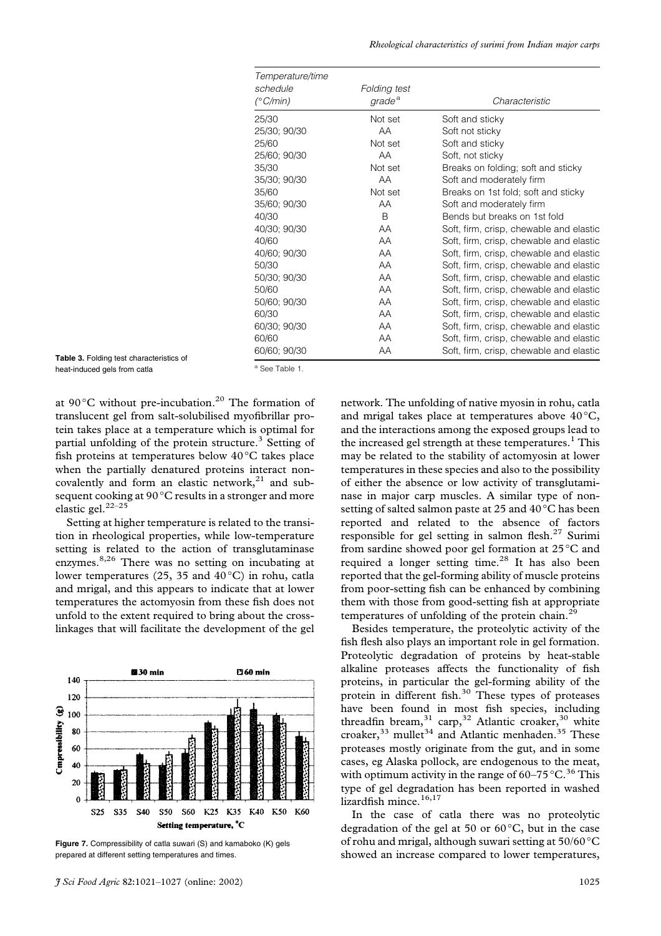| Temperature/time<br>schedule<br>$(^{\circ}C/min)$ | Folding test<br>grade <sup>a</sup> | Characteristic                          |
|---------------------------------------------------|------------------------------------|-----------------------------------------|
| 25/30                                             | Not set                            | Soft and sticky                         |
| 25/30; 90/30                                      | AA                                 | Soft not sticky                         |
| 25/60                                             | Not set                            | Soft and sticky                         |
| 25/60; 90/30                                      | AA                                 | Soft, not sticky                        |
| 35/30                                             | Not set                            | Breaks on folding; soft and sticky      |
| 35/30; 90/30                                      | AA                                 | Soft and moderately firm                |
| 35/60                                             | Not set                            | Breaks on 1st fold; soft and sticky     |
| 35/60; 90/30                                      | AA                                 | Soft and moderately firm                |
| 40/30                                             | <sub>R</sub>                       | Bends but breaks on 1st fold            |
| 40/30; 90/30                                      | AA                                 | Soft, firm, crisp, chewable and elastic |
| 40/60                                             | AA                                 | Soft, firm, crisp, chewable and elastic |
| 40/60; 90/30                                      | AA                                 | Soft, firm, crisp, chewable and elastic |
| 50/30                                             | AA                                 | Soft, firm, crisp, chewable and elastic |
| 50/30; 90/30                                      | AA                                 | Soft, firm, crisp, chewable and elastic |
| 50/60                                             | AA                                 | Soft, firm, crisp, chewable and elastic |
| 50/60; 90/30                                      | AA                                 | Soft, firm, crisp, chewable and elastic |
| 60/30                                             | AA                                 | Soft, firm, crisp, chewable and elastic |
| 60/30; 90/30                                      | AA                                 | Soft, firm, crisp, chewable and elastic |
| 60/60                                             | AA                                 | Soft, firm, crisp, chewable and elastic |
| 60/60; 90/30                                      | AA                                 | Soft, firm, crisp, chewable and elastic |

Table 3. Folding test characteristics of heat-induced gels from catla

<sup>a</sup> See Table 1.

at 90 $\degree$ C without pre-incubation.<sup>20</sup> The formation of translucent gel from salt-solubilised myofibrillar protein takes place at a temperature which is optimal for partial unfolding of the protein structure.<sup>3</sup> Setting of fish proteins at temperatures below 40°C takes place when the partially denatured proteins interact noncovalently and form an elastic network,<sup>21</sup> and subsequent cooking at 90 °C results in a stronger and more elastic gel. $22-25$ 

Setting at higher temperature is related to the transition in rheological properties, while low-temperature setting is related to the action of transglutaminase enzymes.<sup>8,26</sup> There was no setting on incubating at lower temperatures (25, 35 and 40°C) in rohu, catla and mrigal, and this appears to indicate that at lower temperatures the actomyosin from these fish does not unfold to the extent required to bring about the crosslinkages that will facilitate the development of the gel



Figure 7. Compressibility of catla suwari (S) and kamaboko (K) gets prepared at different setting temperatures and times.

network. The unfolding of native myosin in rohu, catla and mrigal takes place at temperatures above  $40^{\circ}$ C, and the interactions among the exposed groups lead to the increased gel strength at these temperatures.<sup>1</sup> This may be related to the stability of actomyosin at lower temperatures in these species and also to the possibility of either the absence or low activity of transglutaminase in major carp muscles. A similar type of nonsetting of salted salmon paste at 25 and 40 °C has been reported and related to the absence of factors responsible for gel setting in salmon flesh.<sup>27</sup> Surimi from sardine showed poor gel formation at 25 °C and required a longer setting time.<sup>28</sup> It has also been reported that the gel-forming ability of muscle proteins from poor-setting fish can be enhanced by combining them with those from good-setting fish at appropriate temperatures of unfolding of the protein chain.<sup>29</sup>

Besides temperature, the proteolytic activity of the fish flesh also plays an important role in gel formation. Proteolytic degradation of proteins by heat-stable alkaline proteases affects the functionality of fish proteins, in particular the gel-forming ability of the protein in different fish.<sup>30</sup> These types of proteases have been found in most fish species, including threadfin bream,<sup>31</sup> carp,<sup>32</sup> Atlantic croaker,<sup>30</sup> white croaker,  $33$  mullet  $34$  and Atlantic menhaden.  $35$  These proteases mostly originate from the gut, and in some cases, eg Alaska pollock, are endogenous to the meat, with optimum activity in the range of  $60-75$  °C.<sup>36</sup> This type of gel degradation has been reported in washed lizardfish mince.<sup>16,17</sup>

In the case of catla there was no proteolytic degradation of the gel at 50 or  $60^{\circ}$ C, but in the case of rohu and mrigal, although suwari setting at  $50/60^{\circ}$ C showed an increase compared to lower temperatures,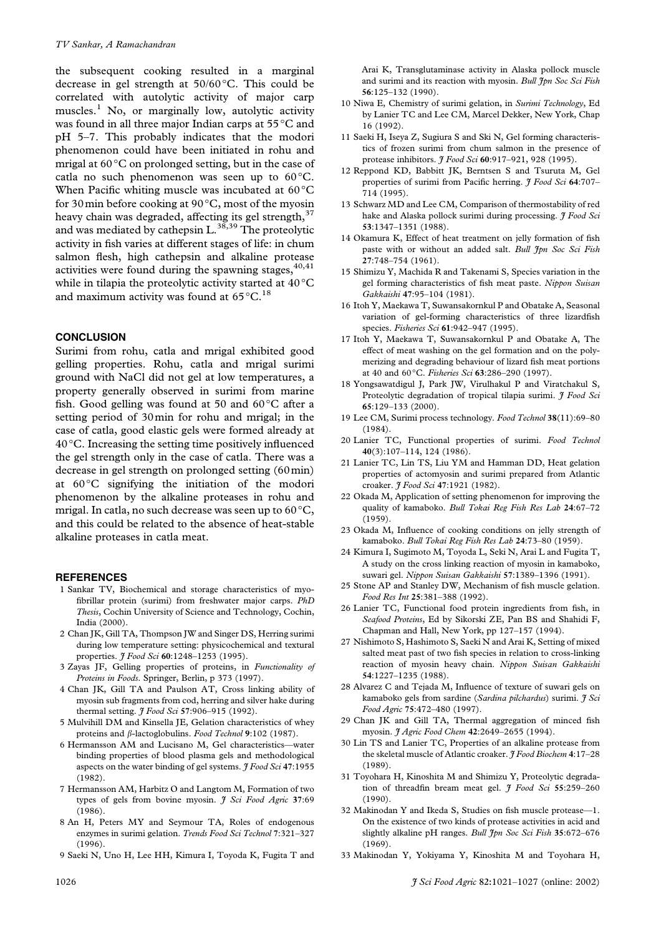the subsequent cooking resulted in a marginal decrease in gel strength at  $50/60$  °C. This could be correlated with autolytic activity of major carp muscles.<sup>1</sup> No, or marginally low, autolytic activity was found in all three major Indian carps at 55 °C and pH 5-7. This probably indicates that the modori phenomenon could have been initiated in rohu and mrigal at 60°C on prolonged setting, but in the case of catla no such phenomenon was seen up to 60°C. When Pacific whiting muscle was incubated at 60 °C for 30 min before cooking at  $90^{\circ}$ C, most of the myosin heavy chain was degraded, affecting its gel strength,<sup>37</sup> and was mediated by cathepsin L.<sup>38,39</sup> The proteolytic activity in fish varies at different stages of life: in chum salmon flesh, high cathepsin and alkaline protease activities were found during the spawning stages, 40,41 while in tilapia the proteolytic activity started at  $40^{\circ}$ C and maximum activity was found at  $65^{\circ}$ C.<sup>18</sup>

## **CONCLUSION**

Surimi from rohu, catla and mrigal exhibited good gelling properties. Rohu, catla and mrigal surimi ground with NaCl did not gel at low temperatures, a property generally observed in surimi from marine fish. Good gelling was found at 50 and  $60^{\circ}$ C after a setting period of 30min for rohu and mrigal; in the case of catla, good elastic gels were formed already at  $40^{\circ}$ C. Increasing the setting time positively influenced the gel strength only in the case of catla. There was a decrease in gel strength on prolonged setting (60 min) at  $60^{\circ}$ C signifying the initiation of the modori phenomenon by the alkaline proteases in rohu and mrigal. In catla, no such decrease was seen up to  $60^{\circ}$ C, and this could be related to the absence of heat-stable alkaline proteases in catla meat.

#### **REFERENCES**

- 1 Sankar TV, Biochemical and storage characteristics of myofibrillar protein (surimi) from freshwater major carps. PhD Thesis, Cochin University of Science and Technology, Cochin, India (2000).
- 2 Chan JK, Gill TA, Thompson JW and Singer DS, Herring surimi during low temperature setting: physicochemical and textural properties. *I Food Sci* 60:1248-1253 (1995).
- 3 Zayas JF, Gelling properties of proteins, in Functionality of Proteins in Foods. Springer, Berlin, p 373 (1997).
- 4 Chan JK, Gill TA and Paulson AT, Cross linking ability of myosin sub fragments from cod, herring and silver hake during thermal setting. *J Food Sci* 57:906-915 (1992).
- 5 Mulvihill DM and Kinsella JE, Gelation characteristics of whey proteins and *ß*-lactoglobulins. Food Technol 9:102 (1987).
- 6 Hermansson AM and Lucisano M, Gel characteristics-water binding properties of blood plasma gels and methodological aspects on the water binding of gel systems. J Food Sci 47:1955  $(1982)$ .
- 7 Hermansson AM, Harbitz O and Langtom M, Formation of two types of gels from bovine myosin. *J Sci Food Agric* 37:69  $(1986)$ .
- 8 An H, Peters MY and Seymour TA, Roles of endogenous enzymes in surimi gelation. Trends Food Sci Technol 7:321-327  $(1996).$
- 9 Saeki N, Uno H, Lee HH, Kimura I, Toyoda K, Fugita T and

Arai K, Transglutaminase activity in Alaska pollock muscle and surimi and its reaction with myosin. Bull Ipn Soc Sci Fish  $56:125-132(1990)$ .

- 10 Niwa E, Chemistry of surimi gelation, in Surimi Technology, Ed by Lanier TC and Lee CM, Marcel Dekker, New York, Chap 16 (1992).
- 11 Saeki H, Iseya Z, Sugiura S and Ski N, Gel forming characteristics of frozen surimi from chum salmon in the presence of protease inhibitors. *J Food Sci* 60:917-921, 928 (1995).
- 12 Reppond KD, Babbitt JK, Berntsen S and Tsuruta M, Gel properties of surimi from Pacific herring. *J Food Sci* 64:707-714 (1995).
- 13 Schwarz MD and Lee CM, Comparison of thermostability of red hake and Alaska pollock surimi during processing. *I Food Sci* 53:1347-1351 (1988).
- 14 Okamura K, Effect of heat treatment on jelly formation of fish paste with or without an added salt. Bull Jpn Soc Sci Fish 27:748-754 (1961).
- 15 Shimizu Y, Machida R and Takenami S, Species variation in the gel forming characteristics of fish meat paste. Nippon Suisan Gakkaishi 47:95-104 (1981).
- 16 Itoh Y, Maekawa T, Suwansakornkul P and Obatake A, Seasonal variation of gel-forming characteristics of three lizardfish species. Fisheries Sci 61:942-947 (1995).
- 17 Itoh Y, Maekawa T, Suwansakornkul P and Obatake A, The effect of meat washing on the gel formation and on the polymerizing and degrading behaviour of lizard fish meat portions at 40 and 60°C. Fisheries Sci 63:286-290 (1997).
- 18 Yongsawatdigul J, Park JW, Virulhakul P and Viratchakul S, Proteolytic degradation of tropical tilapia surimi. J Food Sci 65:129-133 (2000).
- 19 Lee CM, Surimi process technology. Food Technol 38(11):69-80  $(1984)$ .
- 20 Lanier TC, Functional properties of surimi. Food Technol 40(3):107-114, 124 (1986).
- 21 Lanier TC, Lin TS, Liu YM and Hamman DD, Heat gelation properties of actomyosin and surimi prepared from Atlantic croaker. J Food Sci 47:1921 (1982).
- 22 Okada M, Application of setting phenomenon for improving the quality of kamaboko. Bull Tokai Reg Fish Res Lab 24:67-72  $(1959)$ .
- 23 Okada M, Influence of cooking conditions on jelly strength of kamaboko. Bull Tokai Reg Fish Res Lab 24:73-80 (1959).
- 24 Kimura I, Sugimoto M, Toyoda L, Seki N, Arai L and Fugita T, A study on the cross linking reaction of myosin in kamaboko, suwari gel. Nippon Suisan Gakkaishi 57:1389-1396 (1991).
- 25 Stone AP and Stanley DW, Mechanism of fish muscle gelation. Food Res Int 25:381-388 (1992).
- 26 Lanier TC, Functional food protein ingredients from fish, in Seafood Proteins, Ed by Sikorski ZE, Pan BS and Shahidi F, Chapman and Hall, New York, pp 127-157 (1994).
- 27 Nishimoto S, Hashimoto S, Saeki N and Arai K, Setting of mixed salted meat past of two fish species in relation to cross-linking reaction of myosin heavy chain. Nippon Suisan Gakkaishi 54:1227-1235 (1988).
- 28 Alvarez C and Tejada M, Influence of texture of suwari gels on kamaboko gels from sardine (Sardina pilchardus) surimi. J Sci Food Agric 75:472-480 (1997).
- 29 Chan JK and Gill TA, Thermal aggregation of minced fish myosin. J Agric Food Chem 42:2649-2655 (1994).
- 30 Lin TS and Lanier TC, Properties of an alkaline protease from the skeletal muscle of Atlantic croaker. J Food Biochem 4:17-28  $(1989)$ .
- 31 Toyohara H, Kinoshita M and Shimizu Y, Proteolytic degradation of threadfin bream meat gel. *J Food Sci* 55:259-260  $(1990)$ .
- 32 Makinodan Y and Ikeda S, Studies on fish muscle protease-1. On the existence of two kinds of protease activities in acid and slightly alkaline pH ranges. Bull Jpn Soc Sci Fish 35:672-676  $(1969).$
- 33 Makinodan Y, Yokiyama Y, Kinoshita M and Toyohara H,